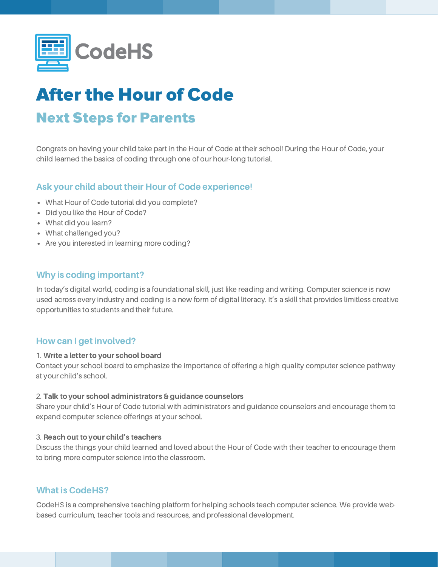

# After the Hour of Code Next Steps for Parents

Congrats on having your child take part in the Hour of Code at their school! During the Hour of Code, your child learned the basics of coding through one of our hour-long tutorial.

## Ask your child about their Hour of Code experience!

- What Hour of Code tutorial did you complete?
- Did you like the Hour of Code?
- What did you learn?
- What challenged you?
- Are you interested in learning more coding?

## Why is coding important?

In today's digital world, coding is a foundational skill, just like reading and writing. Computer science is now used across every industry and coding is a new form of digital literacy. It's a skill that provides limitless creative opportunities to students and their future.

## How can I get involved?

#### 1. Write a letter to your school board

Contact your school board to emphasize the importance of offering a high-quality computer science pathway at your child's school.

#### 2. Talk to your school administrators & guidance counselors

Share your child's Hour of Code tutorial with administrators and guidance counselors and encourage them to expand computer science offerings at your school.

### 3. Reach out to your child's teachers

Discuss the things your child learned and loved about the Hour of Code with their teacher to encourage them to bring more computer science into the classroom.

## What is CodeHS?

CodeHS is a comprehensive teaching platform for helping schools teach computer science. We provide webbased curriculum, teacher tools and resources, and professional development.